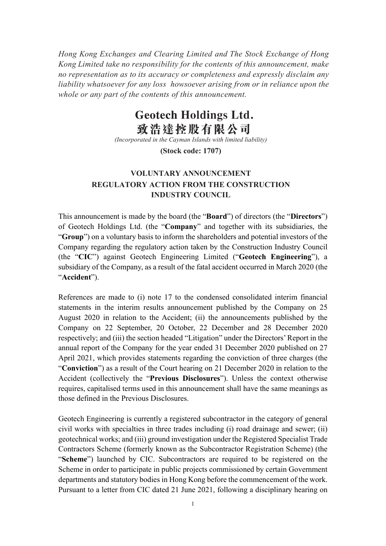Hong Kong Exchanges and Clearing Limited and The Stock Exchange of Hong Kong Limited take no responsibility for the contents of this announcement, make no representation as to its accuracy or completeness and expressly disclaim any liability whatsoever for any loss howsoever arising from or in reliance upon the whole or any part of the contents of this announcement.

## **Geotech Holdings Ltd.** 致浩達控股有限公司

(Incorporated in the Cayman Islands with limited liability)

(Stock code: 1707)

## VOLUNTARY ANNOUNCEMENT REGULATORY ACTION FROM THE CONSTRUCTION INDUSTRY COUNCIL

This announcement is made by the board (the "Board") of directors (the "Directors") of Geotech Holdings Ltd. (the "Company" and together with its subsidiaries, the "Group") on a voluntary basis to inform the shareholders and potential investors of the Company regarding the regulatory action taken by the Construction Industry Council (the "CIC") against Geotech Engineering Limited ("Geotech Engineering"), a subsidiary of the Company, as a result of the fatal accident occurred in March 2020 (the "Accident").

References are made to (i) note 17 to the condensed consolidated interim financial statements in the interim results announcement published by the Company on 25 August 2020 in relation to the Accident; (ii) the announcements published by the Company on 22 September, 20 October, 22 December and 28 December 2020 respectively; and (iii) the section headed "Litigation" under the Directors' Report in the annual report of the Company for the year ended 31 December 2020 published on 27 April 2021, which provides statements regarding the conviction of three charges (the "Conviction") as a result of the Court hearing on 21 December 2020 in relation to the Accident (collectively the "Previous Disclosures"). Unless the context otherwise requires, capitalised terms used in this announcement shall have the same meanings as those defined in the Previous Disclosures.

Geotech Engineering is currently a registered subcontractor in the category of general civil works with specialties in three trades including (i) road drainage and sewer; (ii) geotechnical works; and (iii) ground investigation under the Registered Specialist Trade Contractors Scheme (formerly known as the Subcontractor Registration Scheme) (the "Scheme") launched by CIC. Subcontractors are required to be registered on the Scheme in order to participate in public projects commissioned by certain Government departments and statutory bodies in Hong Kong before the commencement of the work. Pursuant to a letter from CIC dated 21 June 2021, following a disciplinary hearing on